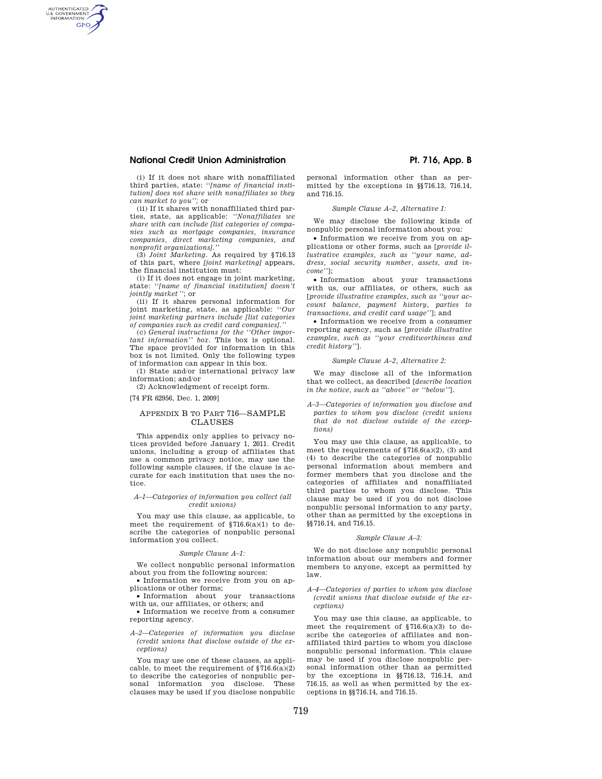# **National Credit Union Administration Access 2008 Pt. 716, App. B**

AUTHENTICATED<br>U.S. GOVERNMENT<br>INFORMATION **GPO** 

> (i) If it does not share with nonaffiliated third parties, state: ''*[name of financial institution] does not share with nonaffiliates so they can market to you'';* or

> (ii) If it shares with nonaffiliated third parties, state, as applicable: *''Nonaffiliates we share with can include [list categories of companies such as mortgage companies, insurance companies, direct marketing companies, and nonprofit organizations].''*

> (3) *Joint Marketing.* As required by §716.13 of this part, where *[joint marketing]* appears, the financial institution must:

> (i) If it does not engage in joint marketing, state: ''*[name of financial institution] doesn't jointly market''*; or

> (ii) If it shares personal information for joint marketing, state, as applicable: ''*Our joint marketing partners include [list categories of companies such as credit card companies].''*

> (c) *General instructions for the ''Other important information'' box.* This box is optional. The space provided for information in this box is not limited. Only the following types of information can appear in this box.

(1) State and/or international privacy law information; and/or

(2) Acknowledgment of receipt form.

[74 FR 62956, Dec. 1, 2009]

# APPENDIX B TO PART 716—SAMPLE CLAUSES

This appendix only applies to privacy notices provided before January 1, 2011. Credit unions, including a group of affiliates that use a common privacy notice, may use the following sample clauses, if the clause is accurate for each institution that uses the notice.

# *A–1—Categories of information you collect (all credit unions)*

You may use this clause, as applicable, to meet the requirement of  $$716.6(a)(1)$  to describe the categories of nonpublic personal information you collect.

# *Sample Clause A–1:*

We collect nonpublic personal information about you from the following sources:

• Information we receive from you on applications or other forms;

• Information about your transactions with us, our affiliates, or others; and

• Information we receive from a consumer reporting agency.

*A–2—Categories of information you disclose (credit unions that disclose outside of the exceptions)* 

You may use one of these clauses, as applicable, to meet the requirement of  $$716.6(a)(2)$ to describe the categories of nonpublic personal information you disclose. These clauses may be used if you disclose nonpublic personal information other than as permitted by the exceptions in §§716.13, 716.14, and 716.15.

## *Sample Clause A–2, Alternative 1:*

We may disclose the following kinds of nonpublic personal information about you:

• Information we receive from you on applications or other forms, such as [*provide illustrative examples, such as ''your name, address, social security number, assets, and income''*];

• Information about your transactions with us, our affiliates, or others, such as [*provide illustrative examples, such as ''your account balance, payment history, parties to transactions, and credit card usage''*]; and

• Information we receive from a consumer reporting agency, such as [*provide illustrative examples, such as ''your creditworthiness and credit history''*].

# *Sample Clause A–2, Alternative 2:*

We may disclose all of the information that we collect, as described [*describe location in the notice, such as ''above'' or ''below''*].

*A–3—Categories of information you disclose and parties to whom you disclose (credit unions that do not disclose outside of the exceptions)* 

You may use this clause, as applicable, to meet the requirements of  $$716.6(a)(2)$ , (3) and (4) to describe the categories of nonpublic personal information about members and former members that you disclose and the categories of affiliates and nonaffiliated third parties to whom you disclose. This clause may be used if you do not disclose nonpublic personal information to any party, other than as permitted by the exceptions in §§716.14, and 716.15.

#### *Sample Clause A–3:*

We do not disclose any nonpublic personal information about our members and former members to anyone, except as permitted by law.

*A–4—Categories of parties to whom you disclose (credit unions that disclose outside of the exceptions)* 

You may use this clause, as applicable, to meet the requirement of  $$716.6(a)(3)$  to describe the categories of affiliates and nonaffiliated third parties to whom you disclose nonpublic personal information. This clause may be used if you disclose nonpublic personal information other than as permitted by the exceptions in §§716.13, 716.14, and 716.15, as well as when permitted by the exceptions in §§716.14, and 716.15.